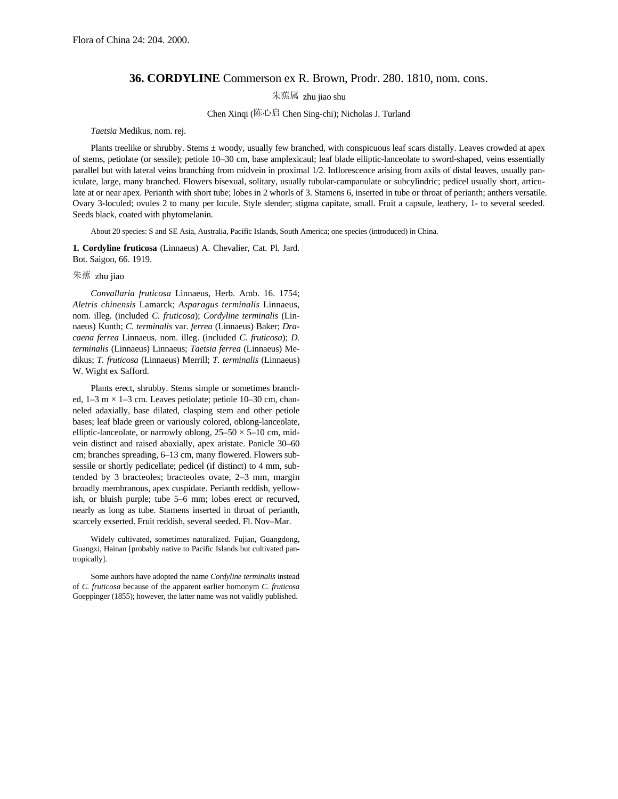## **36. CORDYLINE** Commerson ex R. Brown, Prodr. 280. 1810, nom. cons.

朱蕉属 zhu jiao shu

## Chen Xinqi (陈心启 Chen Sing-chi); Nicholas J. Turland

## *Taetsia* Medikus, nom. rej.

Plants treelike or shrubby. Stems ± woody, usually few branched, with conspicuous leaf scars distally. Leaves crowded at apex of stems, petiolate (or sessile); petiole 10–30 cm, base amplexicaul; leaf blade elliptic-lanceolate to sword-shaped, veins essentially parallel but with lateral veins branching from midvein in proximal 1/2. Inflorescence arising from axils of distal leaves, usually paniculate, large, many branched. Flowers bisexual, solitary, usually tubular-campanulate or subcylindric; pedicel usually short, articulate at or near apex. Perianth with short tube; lobes in 2 whorls of 3. Stamens 6, inserted in tube or throat of perianth; anthers versatile. Ovary 3-loculed; ovules 2 to many per locule. Style slender; stigma capitate, small. Fruit a capsule, leathery, 1- to several seeded. Seeds black, coated with phytomelanin.

About 20 species: S and SE Asia, Australia, Pacific Islands, South America; one species (introduced) in China.

**1. Cordyline fruticosa** (Linnaeus) A. Chevalier, Cat. Pl. Jard. Bot. Saigon, 66. 1919.

## 朱蕉 zhu jiao

*Convallaria fruticosa* Linnaeus, Herb. Amb. 16. 1754; *Aletris chinensis* Lamarck; *Asparagus terminalis* Linnaeus, nom. illeg. (included *C. fruticosa*); *Cordyline terminalis* (Linnaeus) Kunth; *C. terminalis* var. *ferrea* (Linnaeus) Baker; *Dracaena ferrea* Linnaeus, nom. illeg. (included *C. fruticosa*); *D. terminalis* (Linnaeus) Linnaeus; *Taetsia ferrea* (Linnaeus) Medikus; *T. fruticosa* (Linnaeus) Merrill; *T. terminalis* (Linnaeus) W. Wight ex Safford.

Plants erect, shrubby. Stems simple or sometimes branched,  $1-3$  m  $\times$  1-3 cm. Leaves petiolate; petiole 10-30 cm, channeled adaxially, base dilated, clasping stem and other petiole bases; leaf blade green or variously colored, oblong-lanceolate, elliptic-lanceolate, or narrowly oblong,  $25-50 \times 5-10$  cm, midvein distinct and raised abaxially, apex aristate. Panicle 30–60 cm; branches spreading, 6–13 cm, many flowered. Flowers subsessile or shortly pedicellate; pedicel (if distinct) to 4 mm, subtended by 3 bracteoles; bracteoles ovate, 2–3 mm, margin broadly membranous, apex cuspidate. Perianth reddish, yellowish, or bluish purple; tube 5–6 mm; lobes erect or recurved, nearly as long as tube. Stamens inserted in throat of perianth, scarcely exserted. Fruit reddish, several seeded. Fl. Nov–Mar.

Widely cultivated, sometimes naturalized. Fujian, Guangdong, Guangxi, Hainan [probably native to Pacific Islands but cultivated pantropically].

Some authors have adopted the name *Cordyline terminalis* instead of *C. fruticosa* because of the apparent earlier homonym *C. fruticosa* Goeppinger (1855); however, the latter name was not validly published.